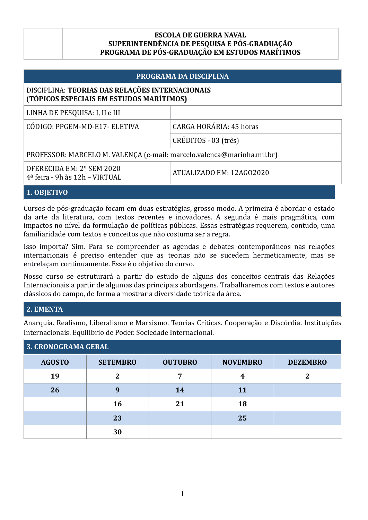#### **ESCOLA DE GUERRA NAVAL SUPERINTENDÊNCIA DE PESQUISA E PÓS-GRADUAÇÃO PROGRAMA DE PÓS-GRADUAÇÃO EM ESTUDOS MARÍTIMOS**

# **PROGRAMA DA DISCIPLINA** DISCIPLINA: TEORIAS DAS RELAÇÕES INTERNACIONAIS (**TÓPICOS ESPECIAIS EM ESTUDOS MARÍTIMOS)** LINHA DE PESQUISA: I, II e III CÓDIGO: PPGEM-MD-E17- ELETIVA CARGA HORÁRIA: 45 horas CRÉDITOS - 03 (três) PROFESSOR: MARCELO M. VALENÇA (e-mail: marcelo.valenca@marinha.mil.br) OFERECIDA EM: 2º SEM 2020  $4^{\frac{a}{\pi}}$  feira - 9h às 12h – VIRTUAL ATUALIZADO EM: 12AGO2020

## **1. OBJETIVO**

Cursos de pós-graduação focam em duas estratégias, grosso modo. A primeira é abordar o estado da arte da literatura, com textos recentes e inovadores. A segunda é mais pragmática, com impactos no nível da formulação de políticas públicas. Essas estratégias requerem, contudo, uma familiaridade com textos e conceitos que não costuma ser a regra.

Isso importa? Sim. Para se compreender as agendas e debates contemporâneos nas relações internacionais é preciso entender que as teorias não se sucedem hermeticamente, mas se entrelaçam continuamente. Esse é o objetivo do curso.

Nosso curso se estruturará a partir do estudo de alguns dos conceitos centrais das Relações Internacionais a partir de algumas das principais abordagens. Trabalharemos com textos e autores clássicos do campo, de forma a mostrar a diversidade teórica da área.

## **2. EMENTA**

Anarquia. Realismo, Liberalismo e Marxismo. Teorias Críticas. Cooperação e Discórdia. Instituições Internacionais. Equilíbrio de Poder. Sociedade Internacional.

| 3. CRONOGRAMA GERAL |                 |                |                 |                 |  |
|---------------------|-----------------|----------------|-----------------|-----------------|--|
| <b>AGOSTO</b>       | <b>SETEMBRO</b> | <b>OUTUBRO</b> | <b>NOVEMBRO</b> | <b>DEZEMBRO</b> |  |
| 19                  | $\overline{2}$  | 7              | 4               | າ               |  |
| 26                  | 9               | 14             | <b>11</b>       |                 |  |
|                     | 16              | 21             | 18              |                 |  |
|                     | 23              |                | 25              |                 |  |
|                     | 30              |                |                 |                 |  |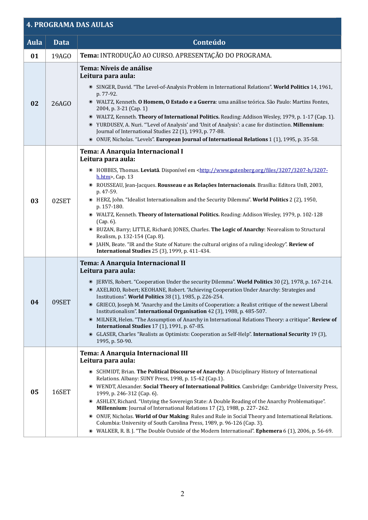# **4. PROGRAMA DAS AULAS**

| <b>Aula</b> | Data  | Conteúdo                                                                                                                                                                                                                                                                                                                                                                                                                                                                                                                                                                                                                                                                                                                                                                                                                                                                                                                                                  |  |
|-------------|-------|-----------------------------------------------------------------------------------------------------------------------------------------------------------------------------------------------------------------------------------------------------------------------------------------------------------------------------------------------------------------------------------------------------------------------------------------------------------------------------------------------------------------------------------------------------------------------------------------------------------------------------------------------------------------------------------------------------------------------------------------------------------------------------------------------------------------------------------------------------------------------------------------------------------------------------------------------------------|--|
| 01          | 19AGO | Tema: INTRODUÇÃO AO CURSO. APRESENTAÇÃO DO PROGRAMA.                                                                                                                                                                                                                                                                                                                                                                                                                                                                                                                                                                                                                                                                                                                                                                                                                                                                                                      |  |
| 02          | 26AGO | Tema: Níveis de análise<br>Leitura para aula:<br><sup>®</sup> SINGER, David. "The Level-of-Analysis Problem in International Relations". World Politics 14, 1961,<br>p. 77-92.<br>WALTZ, Kenneth. O Homem, O Estado e a Guerra: uma análise teórica. São Paulo: Martins Fontes,<br>2004, p. 3-21 (Cap. 1)<br>WALTZ, Kenneth. Theory of International Politics. Reading: Addison Wesley, 1979, p. 1-17 (Cap. 1).<br>. YURDUSEV, A. Nuri. "'Level of Analysis' and 'Unit of Analysis': a case for distinction. Millennium:<br>Journal of International Studies 22 (1), 1993, p. 77-88.<br>ONUF, Nicholas. "Levels". European Journal of International Relations 1 (1), 1995, p. 35-58.<br>$\circledbullet$                                                                                                                                                                                                                                                  |  |
| 03          | 02SET | Tema: A Anarquia Internacional I<br>Leitura para aula:<br>• HOBBES, Thomas. Leviatã. Disponível em <http: 3207="" 3207-<br="" 3207-h="" files="" www.gutenberg.org=""><math>h.htm</math>, Cap. 13<br/>ROUSSEAU, Jean-Jacques. Rousseau e as Relações Internacionais. Brasília: Editora UnB, 2003,<br/><math>\bullet</math><br/>p. 47-59.<br/>• HERZ, John. "Idealist Internationalism and the Security Dilemma". World Politics 2 (2), 1950,<br/>p. 157-180.<br/><sup>®</sup> WALTZ, Kenneth. Theory of International Politics. Reading: Addison Wesley, 1979, p. 102-128<br/>(Cap. 6).<br/><sup>®</sup> BUZAN, Barry; LITTLE, Richard; JONES, Charles. The Logic of Anarchy: Neorealism to Structural<br/>Realism, p. 132-154 (Cap. 8).<br/>JAHN, Beate. "IR and the State of Nature: the cultural origins of a ruling ideology". Review of<br/><math display="inline">\bullet</math><br/><b>International Studies</b> 25 (3), 1999, p. 411-434.</http:> |  |
| 04          | 09SET | Tema: A Anarquia Internacional II<br>Leitura para aula:<br>· JERVIS, Robert. "Cooperation Under the security Dilemma". World Politics 30 (2), 1978, p. 167-214.<br>• AXELROD, Robert; KEOHANE, Robert. "Achieving Cooperation Under Anarchy: Strategies and<br>Institutions". World Politics 38 (1), 1985, p. 226-254.<br>• GRIECO, Joseph M. "Anarchy and the Limits of Cooperation: a Realist critique of the newest Liberal<br>Institutionalism". International Organisation 42 (3), 1988, p. 485-507.<br>MILNER, Helen. "The Assumption of Anarchy in International Relations Theory: a critique". Review of<br>$\bullet$<br><b>International Studies</b> 17 (1), 1991, p. 67-85.<br>GLASER, Charles "Realists as Optimists: Cooperation as Self-Help". International Security 19 (3),<br>$\bullet$<br>1995, p. 50-90.                                                                                                                                |  |
| 05          | 16SET | Tema: A Anarquia Internacional III<br>Leitura para aula:<br>• SCHMIDT, Brian. The Political Discourse of Anarchy: A Disciplinary History of International<br>Relations. Albany: SUNY Press, 1998, p. 15-42 (Cap.1).<br><sup>®</sup> WENDT, Alexander. Social Theory of International Politics. Cambridge: Cambridge University Press,<br>1999, p. 246-312 (Cap. 6).<br><sup>®</sup> ASHLEY, Richard. "Untying the Sovereign State: A Double Reading of the Anarchy Problematique".<br>Millennium: Journal of International Relations 17 (2), 1988, p. 227-262.<br>ONUF, Nicholas. World of Our Making: Rules and Rule in Social Theory and International Relations.<br>Columbia: University of South Carolina Press, 1989, p. 96-126 (Cap. 3).<br>• WALKER, R. B. J. "The Double Outside of the Modern International". Ephemera 6 (1), 2006, p. 56-69.                                                                                                    |  |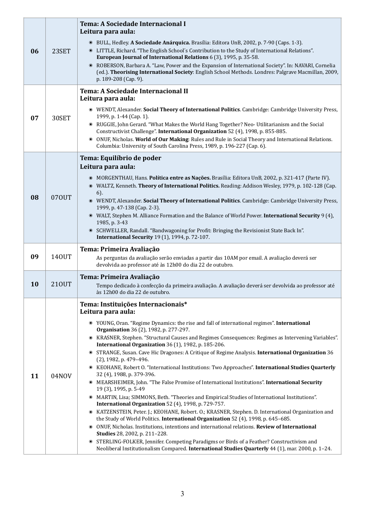| 06 | 23SET | <b>Tema: A Sociedade Internacional I</b><br>Leitura para aula:<br><b>• BULL, Hedley. A Sociedade Anárquica.</b> Brasília: Editora UnB, 2002, p. 7-90 (Caps. 1-3).<br>© LITTLE, Richard. "The English School's Contribution to the Study of International Relations".<br>European Journal of International Relations 6 (3), 1995, p. 35-58.<br>ROBERSON, Barbara A. "Law, Power and the Expansion of International Society". In: NAVARI, Cornelia<br>$\circledbullet$<br>(ed.). Theorising International Society: English School Methods. Londres: Palgrave Macmillan, 2009,<br>p. 189-208 (Cap. 9).                                                                                                                                                                                                                                                                                                                                                                                                                                                                                                                                                                                                                                                                                                                                                                                                                                                                                                                                                                    |  |
|----|-------|------------------------------------------------------------------------------------------------------------------------------------------------------------------------------------------------------------------------------------------------------------------------------------------------------------------------------------------------------------------------------------------------------------------------------------------------------------------------------------------------------------------------------------------------------------------------------------------------------------------------------------------------------------------------------------------------------------------------------------------------------------------------------------------------------------------------------------------------------------------------------------------------------------------------------------------------------------------------------------------------------------------------------------------------------------------------------------------------------------------------------------------------------------------------------------------------------------------------------------------------------------------------------------------------------------------------------------------------------------------------------------------------------------------------------------------------------------------------------------------------------------------------------------------------------------------------|--|
| 07 | 30SET | Tema: A Sociedade Internacional II<br>Leitura para aula:<br><sup>®</sup> WENDT, Alexander. Social Theory of International Politics. Cambridge: Cambridge University Press,<br>1999, p. 1-44 (Cap. 1).<br>RUGGIE, John Gerard. "What Makes the World Hang Together? Neo- Utilitarianism and the Social<br>$\bullet$<br>Constructivist Challenge". International Organization 52 (4), 1998, p. 855-885.<br>ONUF, Nicholas. World of Our Making: Rules and Rule in Social Theory and International Relations.<br>$\bullet$<br>Columbia: University of South Carolina Press, 1989, p. 196-227 (Cap. 6).                                                                                                                                                                                                                                                                                                                                                                                                                                                                                                                                                                                                                                                                                                                                                                                                                                                                                                                                                                    |  |
| 08 | 070UT | Tema: Equilíbrio de poder<br>Leitura para aula:<br>• MORGENTHAU, Hans. Política entre as Nações. Brasília: Editora UnB, 2002, p. 321-417 (Parte IV).<br>WALTZ, Kenneth. Theory of International Politics. Reading: Addison Wesley, 1979, p. 102-128 (Cap.<br>$6$ ).<br><b>WENDT, Alexander. Social Theory of International Politics.</b> Cambridge: Cambridge University Press,<br>1999, p. 47-138 (Cap. 2-3).<br>• WALT, Stephen M. Alliance Formation and the Balance of World Power. International Security 9 (4),<br>1985, p. 3-43<br>SCHWELLER, Randall. "Bandwagoning for Profit: Bringing the Revisionist State Back In".<br><b>International Security 19 (1), 1994, p. 72-107.</b>                                                                                                                                                                                                                                                                                                                                                                                                                                                                                                                                                                                                                                                                                                                                                                                                                                                                             |  |
| 09 | 140UT | Tema: Primeira Avaliação<br>As perguntas da avaliação serão enviadas a partir das 10AM por email. A avaliação deverá ser<br>devolvida ao professor até às 12h00 do dia 22 de outubro.                                                                                                                                                                                                                                                                                                                                                                                                                                                                                                                                                                                                                                                                                                                                                                                                                                                                                                                                                                                                                                                                                                                                                                                                                                                                                                                                                                                  |  |
| 10 | 210UT | Tema: Primeira Avaliação<br>Tempo dedicado à confecção da primeira avaliação. A avaliação deverá ser devolvida ao professor até<br>às 12h00 do dia 22 de outubro.                                                                                                                                                                                                                                                                                                                                                                                                                                                                                                                                                                                                                                                                                                                                                                                                                                                                                                                                                                                                                                                                                                                                                                                                                                                                                                                                                                                                      |  |
| 11 | 04NOV | Tema: Instituições Internacionais*<br>Leitura para aula:<br>• YOUNG, Oran. "Regime Dynamics: the rise and fall of international regimes". International<br><b>Organisation</b> 36 (2), 1982, p. 277-297.<br>KRASNER, Stephen. "Structural Causes and Regimes Consequences: Regimes as Intervening Variables".<br>$\bullet$<br>International Organization 36 (1), 1982, p. 185-206.<br>STRANGE, Susan. Cave Hic Dragones: A Critique of Regime Analysis. International Organization 36<br>$\circledbullet$<br>(2), 1982, p. 479-496.<br>KEOHANE, Robert O. "International Institutions: Two Approaches". International Studies Quarterly<br>$\bullet$<br>32 (4), 1988, p. 379-396.<br>MEARSHEIMER, John. "The False Promise of International Institutions". International Security<br>$\bullet$<br>19 (3), 1995, p. 5-49<br>MARTIN, Lisa; SIMMONS, Beth. "Theories and Empirical Studies of International Institutions".<br>$\bullet$<br>International Organization 52 (4), 1998, p. 729-757.<br>KATZENSTEIN, Peter. J.; KEOHANE, Robert. O.; KRASNER, Stephen. D. International Organization and<br>$\circledbullet$<br>the Study of World Politics. International Organization 52 (4), 1998, p. 645-685.<br>ONUF, Nicholas. Institutions, intentions and international relations. Review of International<br>$\bullet$<br>Studies 28, 2002, p. 211-228.<br>STERLING-FOLKER, Jennifer. Competing Paradigms or Birds of a Feather? Constructivism and<br>$\bullet$<br>Neoliberal Institutionalism Compared. International Studies Quarterly 44 (1), mar. 2000, p. 1-24. |  |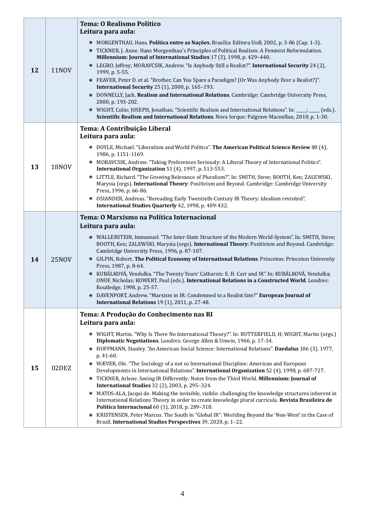|    |              | <b>Tema: O Realismo Político</b><br>Leitura para aula:                                                                                                                                                                                                                                                                                                                                                                                                                                                                                                                                                                                                                                                                                                                                                                                                                                                                                                                                                                                                                                                                                    |
|----|--------------|-------------------------------------------------------------------------------------------------------------------------------------------------------------------------------------------------------------------------------------------------------------------------------------------------------------------------------------------------------------------------------------------------------------------------------------------------------------------------------------------------------------------------------------------------------------------------------------------------------------------------------------------------------------------------------------------------------------------------------------------------------------------------------------------------------------------------------------------------------------------------------------------------------------------------------------------------------------------------------------------------------------------------------------------------------------------------------------------------------------------------------------------|
| 12 | <b>11NOV</b> | • MORGENTHAU, Hans. <b>Política entre as Nações.</b> Brasília: Editora UnB, 2002, p. 3-86 (Cap. 1-3).<br>• TICKNER, J. Anne. Hans Morgenthau's Principles of Political Realism: A Feminist Reformulation.<br>Millennium: Journal of International Studies 17 (3), 1998, p. 429-440.<br>© LEGRO, Jeffrey; MORAVCSIK, Andrew. "Is Anybody Still a Realist?". International Security 24 (2),<br>1999, p. 5-55.<br>● FEAVER, Peter D. et al. "Brother, Can You Spare a Paradigm? (Or Was Anybody Ever a Realist?)".<br><b>International Security</b> 25 (1), 2000, p. 165-193.<br>• DONNELLY, Jack. Realism and International Relations. Cambridge: Cambridge University Press,<br>2000, p. 193-202.<br>• WIGHT, Colin; JOSEPH, Jonathan. "Scientific Realism and International Relations". In: ___; ___ (eds.).<br>Scientific Realism and International Relations. Nova Iorque: Palgrave Macmillan, 2010, p. 1-30.                                                                                                                                                                                                                           |
|    |              | Tema: A Contribuição Liberal<br>Leitura para aula:<br>• DOYLE, Michael. "Liberalism and World Politics". The American Political Science Review 80 (4),                                                                                                                                                                                                                                                                                                                                                                                                                                                                                                                                                                                                                                                                                                                                                                                                                                                                                                                                                                                    |
| 13 | <b>18NOV</b> | 1986, p. 1151-1169.<br>MORAVCSIK, Andrew. "Taking Preferences Seriously: A Liberal Theory of International Politics".<br>$\bullet$<br>International Organization 51 (4), 1997, p. 513-553.                                                                                                                                                                                                                                                                                                                                                                                                                                                                                                                                                                                                                                                                                                                                                                                                                                                                                                                                                |
|    |              | LITTLE, Richard. "The Growing Relevance of Pluralism?". In: SMITH, Steve; BOOTH, Ken; ZALEWSKI,<br>$\bullet$<br>Marysia (orgs). International Theory: Positivism and Beyond. Cambridge: Cambridge University<br>Press, 1996, p. 66-86.<br>OSIANDER, Andreas. "Rereading Early Twentieth-Century IR Theory: Idealism revisited".<br>$\circledcirc$<br>International Studies Quarterly 42, 1998, p. 409-432.                                                                                                                                                                                                                                                                                                                                                                                                                                                                                                                                                                                                                                                                                                                                |
| 14 | <b>25NOV</b> | Tema: O Marxismo na Política Internacional                                                                                                                                                                                                                                                                                                                                                                                                                                                                                                                                                                                                                                                                                                                                                                                                                                                                                                                                                                                                                                                                                                |
|    |              | Leitura para aula:<br>· WALLERSTEIN, Immanuel. "The Inter-State Structure of the Modern World-System". In: SMITH, Steve;<br>BOOTH, Ken; ZALEWSKI, Marysia (orgs). International Theory: Positivism and Beyond. Cambridge:<br>Cambridge University Press, 1996, p. 87-107.<br><b>EXECUTE:</b> GILPIN, Robert. The Political Economy of International Relations. Princeton: Princeton University<br>Press, 1987, p. 8-64.<br>· KUBÁLKOVÁ, Vendulka. "The Twenty Years' Catharsis: E. H. Carr and IR". In: KUBÁLKOVÁ, Vendulka;<br>ONUF, Nicholas; KOWERT, Paul (eds.). International Relations in a Constructed World. Londres:<br>Routledge, 1998, p. 25-57.<br>• DAVENPORT, Andrew. "Marxism in IR: Condemned to a Realist fate?" European Journal of<br>International Relations 19 (1), 2011, p. 27-48.                                                                                                                                                                                                                                                                                                                                  |
|    |              | Tema: A Produção do Conhecimento nas RI<br>Leitura para aula:                                                                                                                                                                                                                                                                                                                                                                                                                                                                                                                                                                                                                                                                                                                                                                                                                                                                                                                                                                                                                                                                             |
| 15 | 02DEZ        | O WIGHT, Martin. "Why Is There No International Theory?". In: BUTTERFIELD, H; WIGHT, Martin (orgs.)<br>Diplomatic Negotiations. Londres: George Allen & Unwin, 1966, p. 17-34.<br><sup>®</sup> HOFFMANN, Stanley. "An American Social Science: International Relations". Daedalus 106 (3), 1977,<br>p. 41-60.<br>• WÆVER, Ole. "The Sociology of a not so International Discipline: American and European<br>Developments in International Relations". International Organization 52 (4), 1998, p. 687-727.<br>TICKNER, Arlene. Seeing IR Differently: Notes from the Third World. Millennium: Journal of<br>$\bullet$<br><b>International Studies</b> 32 (2), 2003, p. 295-324.<br>• MATOS-ALA, Jacqui de. Making the invisible, visible: challenging the knowledge structures inherent in<br>International Relations Theory in order to create knowledge plural curricula. Revista Brasileira de<br>Política Internacional 60 (1), 2018, p. 289-318.<br>KRISTENSEN, Peter Marcus. The South in "Global IR": Worlding Beyond the 'Non-West' in the Case of<br>$\bullet$<br>Brazil. International Studies Perspectives 39, 2020, p. 1-22. |

1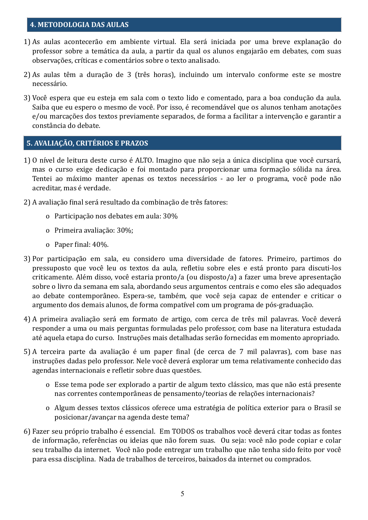#### **4. METODOLOGIA DAS AULAS**

- 1) As aulas acontecerão em ambiente virtual. Ela será iniciada por uma breve explanação do professor sobre a temática da aula, a partir da qual os alunos engajarão em debates, com suas observações, críticas e comentários sobre o texto analisado.
- 2) As aulas têm a duração de 3 (três horas), incluindo um intervalo conforme este se mostre necessário.
- 3) Você espera que eu esteja em sala com o texto lido e comentado, para a boa condução da aula. Saiba que eu espero o mesmo de você. Por isso, é recomendável que os alunos tenham anotações e/ou marcações dos textos previamente separados, de forma a facilitar a intervenção e garantir a constância do debate.

#### **5. AVALIAÇÃO, CRITÉRIOS E PRAZOS**

- 1) O nível de leitura deste curso é ALTO. Imagino que não seja a única disciplina que você cursará, mas o curso exige dedicação e foi montado para proporcionar uma formação sólida na área. Tentei ao máximo manter apenas os textos necessários - ao ler o programa, você pode não acreditar, mas é verdade.
- 2) A avaliação final será resultado da combinação de três fatores:
	- o Participação nos debates em aula: 30%
	- o Primeira avaliação: 30%;
	- o Paper final:  $40\%$ .
- 3) Por participação em sala, eu considero uma diversidade de fatores. Primeiro, partimos do pressuposto que você leu os textos da aula, reletiu sobre eles e está pronto para discuti-los criticamente. Além disso, você estaria pronto/a (ou disposto/a) a fazer uma breve apresentação sobre o livro da semana em sala, abordando seus argumentos centrais e como eles são adequados ao debate contemporâneo. Espera-se, também, que você seja capaz de entender e criticar o argumento dos demais alunos, de forma compatível com um programa de pós-graduação.
- 4) A primeira avaliação será em formato de artigo, com cerca de três mil palavras. Você deverá responder a uma ou mais perguntas formuladas pelo professor, com base na literatura estudada até aquela etapa do curso. Instruções mais detalhadas serão fornecidas em momento apropriado.
- 5) A terceira parte da avaliação é um paper final (de cerca de 7 mil palavras), com base nas instruções dadas pelo professor. Nele você deverá explorar um tema relativamente conhecido das agendas internacionais e refletir sobre duas questões.
	- o Esse tema pode ser explorado a partir de algum texto clássico, mas que não está presente nas correntes contemporâneas de pensamento/teorias de relações internacionais?
	- o Algum desses textos clássicos oferece uma estratégia de política exterior para o Brasil se posicionar/avançar na agenda deste tema?
- 6) Fazer seu próprio trabalho é essencial. Em TODOS os trabalhos você deverá citar todas as fontes de informação, referências ou ideias que não forem suas. Ou seja: você não pode copiar e colar seu trabalho da internet. Você não pode entregar um trabalho que não tenha sido feito por você para essa disciplina. Nada de trabalhos de terceiros, baixados da internet ou comprados.